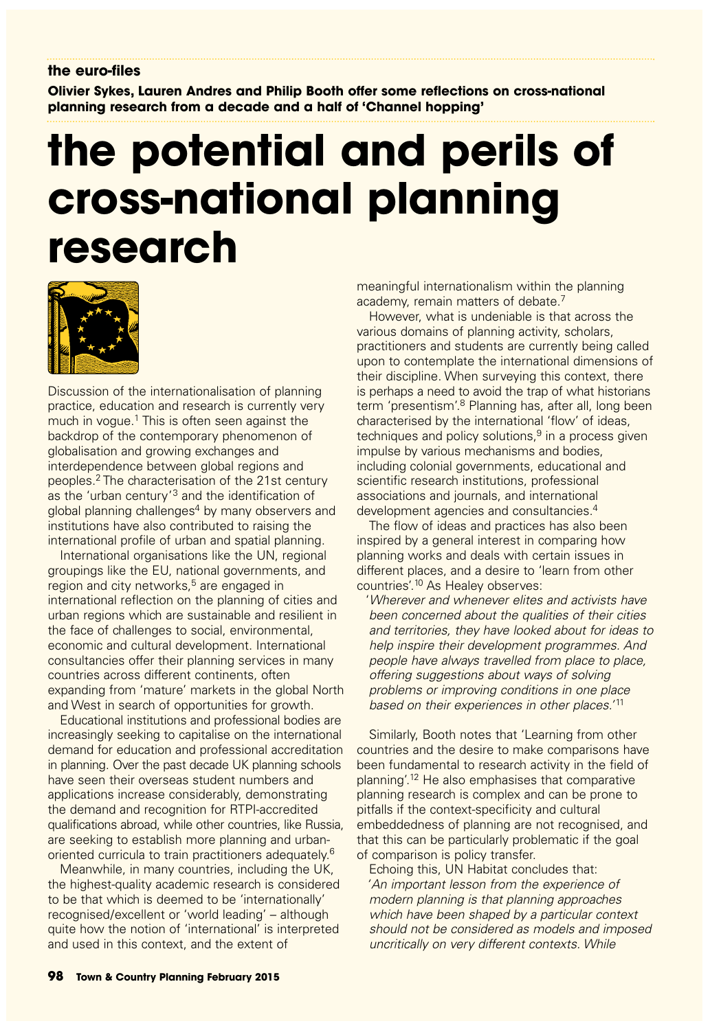**Olivier Sykes, Lauren Andres and Philip Booth offer some reflections on cross-national planning research from a decade and a half of 'Channel hopping'**

# **the potential and perils of cross-national planning research**



Discussion of the internationalisation of planning practice, education and research is currently very much in vogue. $1$  This is often seen against the backdrop of the contemporary phenomenon of globalisation and growing exchanges and interdependence between global regions and peoples.2 The characterisation of the 21st century as the 'urban century'3 and the identification of global planning challenges<sup>4</sup> by many observers and institutions have also contributed to raising the international profile of urban and spatial planning.

International organisations like the UN, regional groupings like the EU, national governments, and region and city networks,<sup>5</sup> are engaged in international reflection on the planning of cities and urban regions which are sustainable and resilient in the face of challenges to social, environmental, economic and cultural development. International consultancies offer their planning services in many countries across different continents, often expanding from 'mature' markets in the global North and West in search of opportunities for growth.

Educational institutions and professional bodies are increasingly seeking to capitalise on the international demand for education and professional accreditation in planning. Over the past decade UK planning schools have seen their overseas student numbers and applications increase considerably, demonstrating the demand and recognition for RTPI-accredited qualifications abroad, while other countries, like Russia, are seeking to establish more planning and urbanoriented curricula to train practitioners adequately.6

Meanwhile, in many countries, including the UK, the highest-quality academic research is considered to be that which is deemed to be 'internationally' recognised/excellent or 'world leading' – although quite how the notion of 'international' is interpreted and used in this context, and the extent of

meaningful internationalism within the planning academy, remain matters of debate.<sup>7</sup>

However, what is undeniable is that across the various domains of planning activity, scholars, practitioners and students are currently being called upon to contemplate the international dimensions of their discipline. When surveying this context, there is perhaps a need to avoid the trap of what historians term 'presentism'.<sup>8</sup> Planning has, after all, long been characterised by the international 'flow' of ideas, techniques and policy solutions.<sup>9</sup> in a process given impulse by various mechanisms and bodies, including colonial governments, educational and scientific research institutions, professional associations and journals, and international development agencies and consultancies.4

The flow of ideas and practices has also been inspired by a general interest in comparing how planning works and deals with certain issues in different places, and a desire to 'learn from other countries'.10 As Healey observes:

'Wherever and whenever elites and activists have been concerned about the qualities of their cities and territories, they have looked about for ideas to help inspire their development programmes. And people have always travelled from place to place, offering suggestions about ways of solving problems or improving conditions in one place based on their experiences in other places.<sup>'11</sup>

Similarly, Booth notes that 'Learning from other countries and the desire to make comparisons have been fundamental to research activity in the field of planning'.12 He also emphasises that comparative planning research is complex and can be prone to pitfalls if the context-specificity and cultural embeddedness of planning are not recognised, and that this can be particularly problematic if the goal of comparison is policy transfer.

Echoing this, UN Habitat concludes that: 'An important lesson from the experience of modern planning is that planning approaches which have been shaped by a particular context should not be considered as models and imposed uncritically on very different contexts. While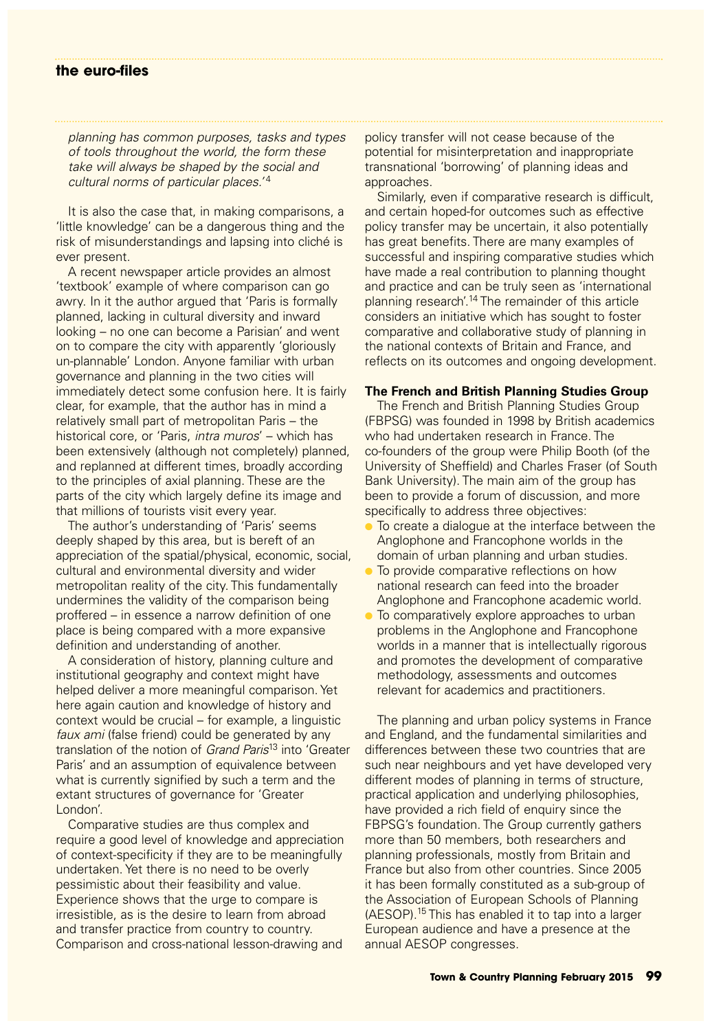planning has common purposes, tasks and types of tools throughout the world, the form these take will always be shaped by the social and cultural norms of particular places.'<sup>4</sup>

It is also the case that, in making comparisons, a 'little knowledge' can be a dangerous thing and the risk of misunderstandings and lapsing into cliché is ever present.

A recent newspaper article provides an almost 'textbook' example of where comparison can go awry. In it the author argued that 'Paris is formally planned, lacking in cultural diversity and inward looking – no one can become a Parisian' and went on to compare the city with apparently 'gloriously un-plannable' London. Anyone familiar with urban governance and planning in the two cities will immediately detect some confusion here. It is fairly clear, for example, that the author has in mind a relatively small part of metropolitan Paris – the historical core, or 'Paris, intra muros' – which has been extensively (although not completely) planned, and replanned at different times, broadly according to the principles of axial planning. These are the parts of the city which largely define its image and that millions of tourists visit every year.

The author's understanding of 'Paris' seems deeply shaped by this area, but is bereft of an appreciation of the spatial/physical, economic, social, cultural and environmental diversity and wider metropolitan reality of the city. This fundamentally undermines the validity of the comparison being proffered – in essence a narrow definition of one place is being compared with a more expansive definition and understanding of another.

A consideration of history, planning culture and institutional geography and context might have helped deliver a more meaningful comparison. Yet here again caution and knowledge of history and context would be crucial – for example, a linguistic faux ami (false friend) could be generated by any translation of the notion of Grand Paris<sup>13</sup> into 'Greater Paris' and an assumption of equivalence between what is currently signified by such a term and the extant structures of governance for 'Greater London'.

Comparative studies are thus complex and require a good level of knowledge and appreciation of context-specificity if they are to be meaningfully undertaken. Yet there is no need to be overly pessimistic about their feasibility and value. Experience shows that the urge to compare is irresistible, as is the desire to learn from abroad and transfer practice from country to country. Comparison and cross-national lesson-drawing and

policy transfer will not cease because of the potential for misinterpretation and inappropriate transnational 'borrowing' of planning ideas and approaches.

Similarly, even if comparative research is difficult, and certain hoped-for outcomes such as effective policy transfer may be uncertain, it also potentially has great benefits. There are many examples of successful and inspiring comparative studies which have made a real contribution to planning thought and practice and can be truly seen as 'international planning research'.14 The remainder of this article considers an initiative which has sought to foster comparative and collaborative study of planning in the national contexts of Britain and France, and reflects on its outcomes and ongoing development.

### **The French and British Planning Studies Group**

The French and British Planning Studies Group (FBPSG) was founded in 1998 by British academics who had undertaken research in France. The co-founders of the group were Philip Booth (of the University of Sheffield) and Charles Fraser (of South Bank University). The main aim of the group has been to provide a forum of discussion, and more specifically to address three objectives:

- To create a dialogue at the interface between the Anglophone and Francophone worlds in the domain of urban planning and urban studies.
- To provide comparative reflections on how national research can feed into the broader Anglophone and Francophone academic world.
- To comparatively explore approaches to urban problems in the Anglophone and Francophone worlds in a manner that is intellectually rigorous and promotes the development of comparative methodology, assessments and outcomes relevant for academics and practitioners.

The planning and urban policy systems in France and England, and the fundamental similarities and differences between these two countries that are such near neighbours and yet have developed very different modes of planning in terms of structure, practical application and underlying philosophies, have provided a rich field of enquiry since the FBPSG's foundation. The Group currently gathers more than 50 members, both researchers and planning professionals, mostly from Britain and France but also from other countries. Since 2005 it has been formally constituted as a sub-group of the Association of European Schools of Planning (AESOP).15 This has enabled it to tap into a larger European audience and have a presence at the annual AESOP congresses.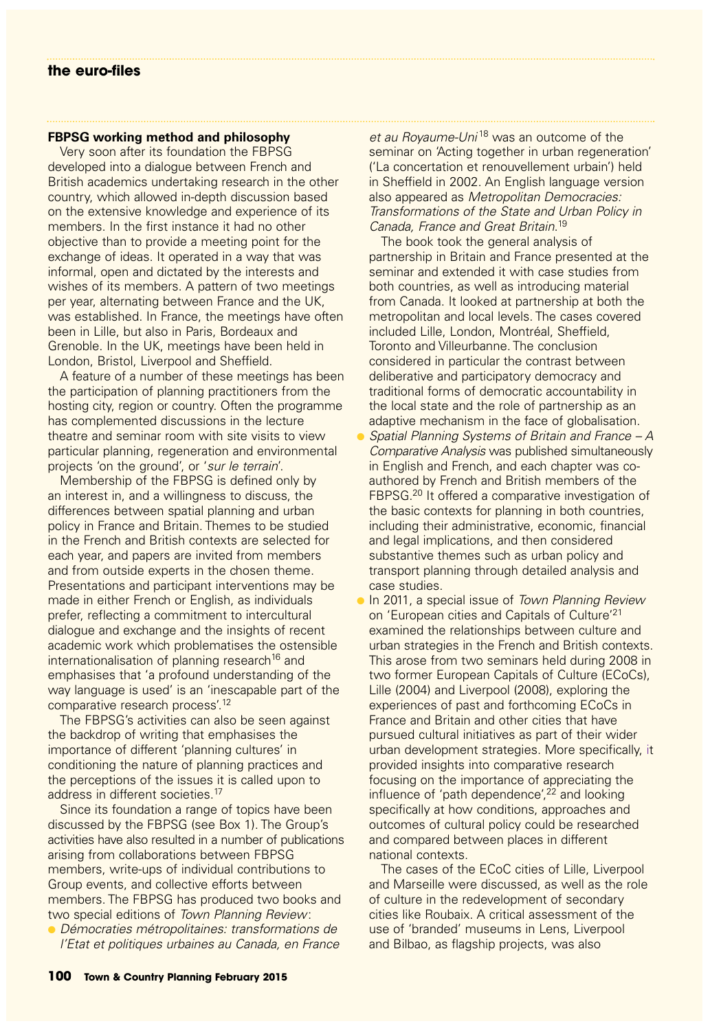### **FBPSG working method and philosophy**

Very soon after its foundation the FBPSG developed into a dialogue between French and British academics undertaking research in the other country, which allowed in-depth discussion based on the extensive knowledge and experience of its members. In the first instance it had no other objective than to provide a meeting point for the exchange of ideas. It operated in a way that was informal, open and dictated by the interests and wishes of its members. A pattern of two meetings per year, alternating between France and the UK, was established. In France, the meetings have often been in Lille, but also in Paris, Bordeaux and Grenoble. In the UK, meetings have been held in London, Bristol, Liverpool and Sheffield.

A feature of a number of these meetings has been the participation of planning practitioners from the hosting city, region or country. Often the programme has complemented discussions in the lecture theatre and seminar room with site visits to view particular planning, regeneration and environmental projects 'on the ground', or 'sur le terrain'.

Membership of the FBPSG is defined only by an interest in, and a willingness to discuss, the differences between spatial planning and urban policy in France and Britain. Themes to be studied in the French and British contexts are selected for each year, and papers are invited from members and from outside experts in the chosen theme. Presentations and participant interventions may be made in either French or English, as individuals prefer, reflecting a commitment to intercultural dialogue and exchange and the insights of recent academic work which problematises the ostensible internationalisation of planning research<sup>16</sup> and emphasises that 'a profound understanding of the way language is used' is an 'inescapable part of the comparative research process'.<sup>12</sup>

The FBPSG's activities can also be seen against the backdrop of writing that emphasises the importance of different 'planning cultures' in conditioning the nature of planning practices and the perceptions of the issues it is called upon to address in different societies.<sup>17</sup>

Since its foundation a range of topics have been discussed by the FBPSG (see Box 1). The Group's activities have also resulted in a number of publications arising from collaborations between FBPSG members, write-ups of individual contributions to Group events, and collective efforts between members. The FBPSG has produced two books and two special editions of Town Planning Review:

● Démocraties métropolitaines: transformations de l'Etat et politiques urbaines au Canada, en France et au Royaume-Uni<sup>18</sup> was an outcome of the seminar on 'Acting together in urban regeneration' ('La concertation et renouvellement urbain') held in Sheffield in 2002. An English language version also appeared as Metropolitan Democracies: Transformations of the State and Urban Policy in Canada, France and Great Britain. 19

The book took the general analysis of partnership in Britain and France presented at the seminar and extended it with case studies from both countries, as well as introducing material from Canada. It looked at partnership at both the metropolitan and local levels. The cases covered included Lille, London, Montréal, Sheffield, Toronto and Villeurbanne. The conclusion considered in particular the contrast between deliberative and participatory democracy and traditional forms of democratic accountability in the local state and the role of partnership as an adaptive mechanism in the face of globalisation.

- Spatial Planning Systems of Britain and France  $-A$ Comparative Analysis was published simultaneously in English and French, and each chapter was coauthored by French and British members of the FBPSG.<sup>20</sup> It offered a comparative investigation of the basic contexts for planning in both countries, including their administrative, economic, financial and legal implications, and then considered substantive themes such as urban policy and transport planning through detailed analysis and case studies.
- In 2011, a special issue of Town Planning Review on 'European cities and Capitals of Culture'21 examined the relationships between culture and urban strategies in the French and British contexts. This arose from two seminars held during 2008 in two former European Capitals of Culture (ECoCs), Lille (2004) and Liverpool (2008), exploring the experiences of past and forthcoming ECoCs in France and Britain and other cities that have pursued cultural initiatives as part of their wider urban development strategies. More specifically, it provided insights into comparative research focusing on the importance of appreciating the influence of 'path dependence',<sup>22</sup> and looking specifically at how conditions, approaches and outcomes of cultural policy could be researched and compared between places in different national contexts.

The cases of the ECoC cities of Lille, Liverpool and Marseille were discussed, as well as the role of culture in the redevelopment of secondary cities like Roubaix. A critical assessment of the use of 'branded' museums in Lens, Liverpool and Bilbao, as flagship projects, was also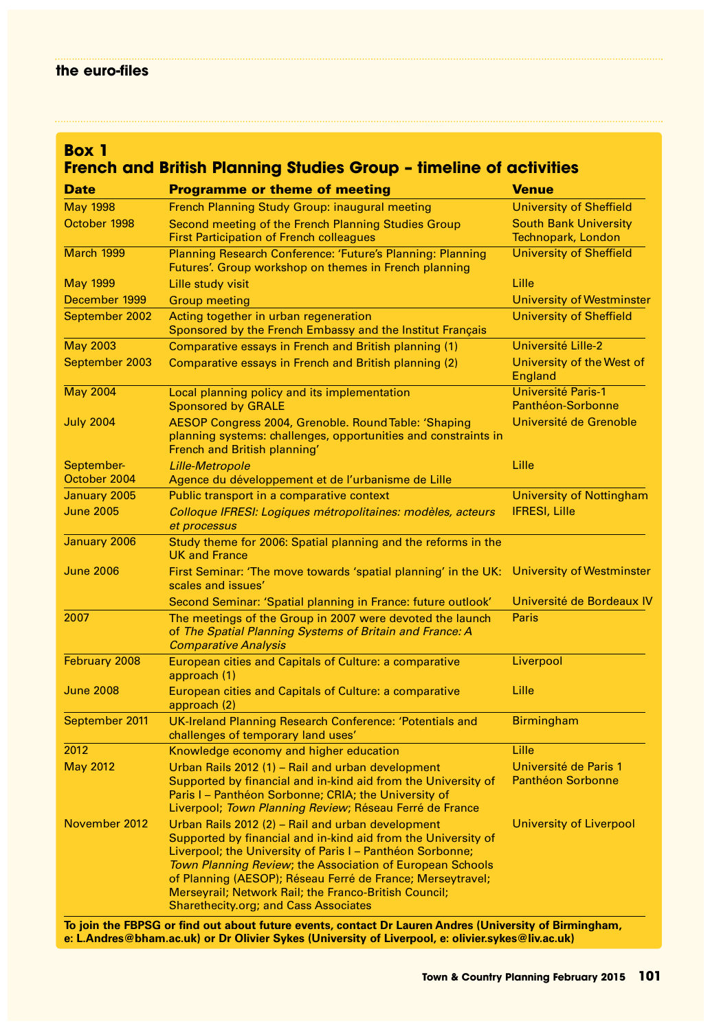# **Box 1**

# **French and British Planning Studies Group – timeline of activities**

| <b>Date</b>                | <b>Programme or theme of meeting</b>                                                                                                                                                                                                                                                                                                                                                                                                                                                                                                | <b>Venue</b>                                       |
|----------------------------|-------------------------------------------------------------------------------------------------------------------------------------------------------------------------------------------------------------------------------------------------------------------------------------------------------------------------------------------------------------------------------------------------------------------------------------------------------------------------------------------------------------------------------------|----------------------------------------------------|
| <b>May 1998</b>            | French Planning Study Group: inaugural meeting                                                                                                                                                                                                                                                                                                                                                                                                                                                                                      | <b>University of Sheffield</b>                     |
| October 1998               | Second meeting of the French Planning Studies Group<br><b>First Participation of French colleagues</b>                                                                                                                                                                                                                                                                                                                                                                                                                              | <b>South Bank University</b><br>Technopark, London |
| March 1999                 | Planning Research Conference: 'Future's Planning: Planning<br>Futures'. Group workshop on themes in French planning                                                                                                                                                                                                                                                                                                                                                                                                                 | <b>University of Sheffield</b>                     |
| <b>May 1999</b>            | <b>Lille study visit</b>                                                                                                                                                                                                                                                                                                                                                                                                                                                                                                            | Lille                                              |
| December 1999              | <b>Group meeting</b>                                                                                                                                                                                                                                                                                                                                                                                                                                                                                                                | <b>University of Westminster</b>                   |
| September 2002             | Acting together in urban regeneration<br>Sponsored by the French Embassy and the Institut Français                                                                                                                                                                                                                                                                                                                                                                                                                                  | <b>University of Sheffield</b>                     |
| <b>May 2003</b>            | Comparative essays in French and British planning (1)                                                                                                                                                                                                                                                                                                                                                                                                                                                                               | Université Lille-2                                 |
| September 2003             | Comparative essays in French and British planning (2)                                                                                                                                                                                                                                                                                                                                                                                                                                                                               | University of the West of<br>England               |
| <b>May 2004</b>            | Local planning policy and its implementation<br><b>Sponsored by GRALE</b>                                                                                                                                                                                                                                                                                                                                                                                                                                                           | <b>Université Paris-1</b><br>Panthéon-Sorbonne     |
| <b>July 2004</b>           | AESOP Congress 2004, Grenoble. Round Table: 'Shaping<br>planning systems: challenges, opportunities and constraints in<br>French and British planning'                                                                                                                                                                                                                                                                                                                                                                              | Université de Grenoble                             |
| September-<br>October 2004 | <b>Lille-Metropole</b><br>Agence du développement et de l'urbanisme de Lille                                                                                                                                                                                                                                                                                                                                                                                                                                                        | Lille                                              |
| January 2005               | Public transport in a comparative context                                                                                                                                                                                                                                                                                                                                                                                                                                                                                           | University of Nottingham                           |
| <b>June 2005</b>           | Colloque IFRESI: Logiques métropolitaines: modèles, acteurs<br>et processus                                                                                                                                                                                                                                                                                                                                                                                                                                                         | <b>IFRESI, Lille</b>                               |
| January 2006               | Study theme for 2006: Spatial planning and the reforms in the<br><b>UK and France</b>                                                                                                                                                                                                                                                                                                                                                                                                                                               |                                                    |
| <b>June 2006</b>           | First Seminar: 'The move towards 'spatial planning' in the UK:<br>scales and issues'                                                                                                                                                                                                                                                                                                                                                                                                                                                | University of Westminster                          |
|                            | Second Seminar: 'Spatial planning in France: future outlook'                                                                                                                                                                                                                                                                                                                                                                                                                                                                        | Université de Bordeaux IV                          |
| 2007                       | The meetings of the Group in 2007 were devoted the launch<br>of The Spatial Planning Systems of Britain and France: A<br><b>Comparative Analysis</b>                                                                                                                                                                                                                                                                                                                                                                                | <b>Paris</b>                                       |
| February 2008              | European cities and Capitals of Culture: a comparative<br>approach (1)                                                                                                                                                                                                                                                                                                                                                                                                                                                              | Liverpool                                          |
| <b>June 2008</b>           | European cities and Capitals of Culture: a comparative<br>approach (2)                                                                                                                                                                                                                                                                                                                                                                                                                                                              | Lille                                              |
| September 2011             | UK-Ireland Planning Research Conference: 'Potentials and<br>challenges of temporary land uses'                                                                                                                                                                                                                                                                                                                                                                                                                                      | <b>Birmingham</b>                                  |
| 2012                       | Knowledge economy and higher education                                                                                                                                                                                                                                                                                                                                                                                                                                                                                              | Lille                                              |
| <b>May 2012</b>            | Urban Rails 2012 (1) - Rail and urban development<br>Supported by financial and in-kind aid from the University of<br>Paris I - Panthéon Sorbonne; CRIA; the University of<br>Liverpool; Town Planning Review; Réseau Ferré de France                                                                                                                                                                                                                                                                                               | Université de Paris 1<br><b>Panthéon Sorbonne</b>  |
| November 2012              | Urban Rails 2012 (2) - Rail and urban development<br>Supported by financial and in-kind aid from the University of<br>Liverpool; the University of Paris I – Panthéon Sorbonne;<br><b>Town Planning Review; the Association of European Schools</b><br>of Planning (AESOP); Réseau Ferré de France; Merseytravel;<br>Merseyrail; Network Rail; the Franco-British Council;<br><b>Sharethecity.org; and Cass Associates</b><br>To join the ERDSC or find out about future events, contact Dr Lauren Andres (University of Rirmingham | University of Liverpool                            |

**To join the FBPSG or find out about future events, contact Dr Lauren Andres (University of Birmingham, e: L.Andres@bham.ac.uk) or Dr Olivier Sykes (University of Liverpool, e: olivier.sykes@liv.ac.uk)**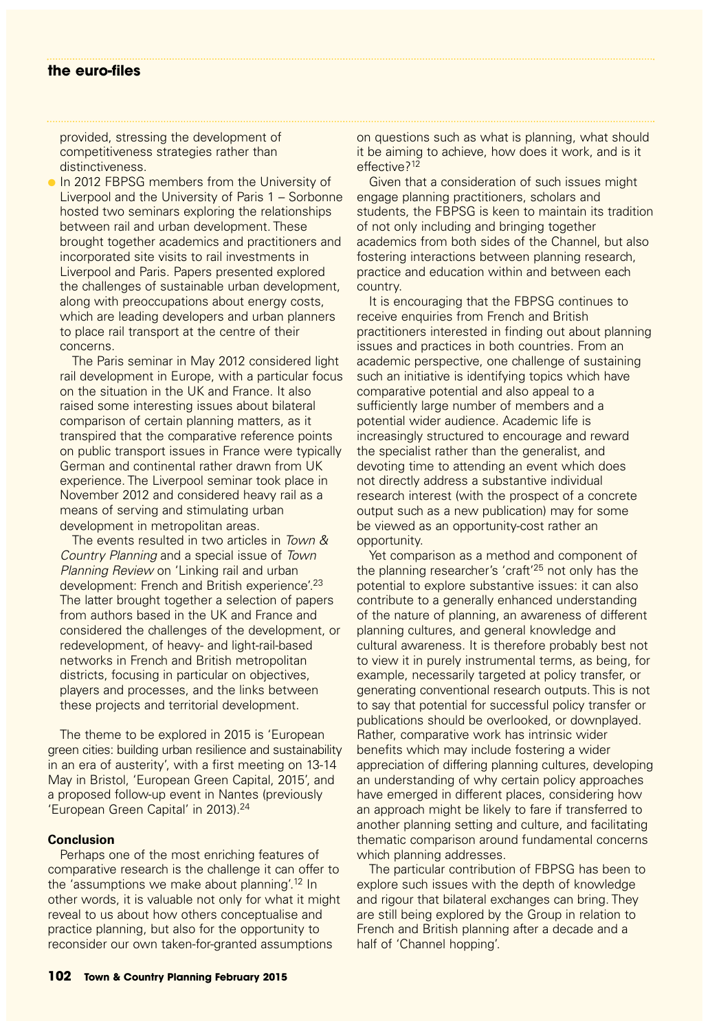provided, stressing the development of competitiveness strategies rather than distinctiveness.

**In 2012 FBPSG members from the University of** Liverpool and the University of Paris 1 – Sorbonne hosted two seminars exploring the relationships between rail and urban development. These brought together academics and practitioners and incorporated site visits to rail investments in Liverpool and Paris. Papers presented explored the challenges of sustainable urban development, along with preoccupations about energy costs, which are leading developers and urban planners to place rail transport at the centre of their concerns.

The Paris seminar in May 2012 considered light rail development in Europe, with a particular focus on the situation in the UK and France. It also raised some interesting issues about bilateral comparison of certain planning matters, as it transpired that the comparative reference points on public transport issues in France were typically German and continental rather drawn from UK experience. The Liverpool seminar took place in November 2012 and considered heavy rail as a means of serving and stimulating urban development in metropolitan areas.

The events resulted in two articles in Town & Country Planning and a special issue of Town Planning Review on 'Linking rail and urban development: French and British experience'.<sup>23</sup> The latter brought together a selection of papers from authors based in the UK and France and considered the challenges of the development, or redevelopment, of heavy- and light-rail-based networks in French and British metropolitan districts, focusing in particular on objectives, players and processes, and the links between these projects and territorial development.

The theme to be explored in 2015 is 'European green cities: building urban resilience and sustainability in an era of austerity', with a first meeting on 13-14 May in Bristol, 'European Green Capital, 2015', and a proposed follow-up event in Nantes (previously 'European Green Capital' in 2013).<sup>24</sup>

#### **Conclusion**

Perhaps one of the most enriching features of comparative research is the challenge it can offer to the 'assumptions we make about planning'.12 In other words, it is valuable not only for what it might reveal to us about how others conceptualise and practice planning, but also for the opportunity to reconsider our own taken-for-granted assumptions

on questions such as what is planning, what should it be aiming to achieve, how does it work, and is it effective?<sup>12</sup>

Given that a consideration of such issues might engage planning practitioners, scholars and students, the FBPSG is keen to maintain its tradition of not only including and bringing together academics from both sides of the Channel, but also fostering interactions between planning research, practice and education within and between each country.

It is encouraging that the FBPSG continues to receive enquiries from French and British practitioners interested in finding out about planning issues and practices in both countries. From an academic perspective, one challenge of sustaining such an initiative is identifying topics which have comparative potential and also appeal to a sufficiently large number of members and a potential wider audience. Academic life is increasingly structured to encourage and reward the specialist rather than the generalist, and devoting time to attending an event which does not directly address a substantive individual research interest (with the prospect of a concrete output such as a new publication) may for some be viewed as an opportunity-cost rather an opportunity.

Yet comparison as a method and component of the planning researcher's 'craft'<sup>25</sup> not only has the potential to explore substantive issues: it can also contribute to a generally enhanced understanding of the nature of planning, an awareness of different planning cultures, and general knowledge and cultural awareness. It is therefore probably best not to view it in purely instrumental terms, as being, for example, necessarily targeted at policy transfer, or generating conventional research outputs. This is not to say that potential for successful policy transfer or publications should be overlooked, or downplayed. Rather, comparative work has intrinsic wider benefits which may include fostering a wider appreciation of differing planning cultures, developing an understanding of why certain policy approaches have emerged in different places, considering how an approach might be likely to fare if transferred to another planning setting and culture, and facilitating thematic comparison around fundamental concerns which planning addresses.

The particular contribution of FBPSG has been to explore such issues with the depth of knowledge and rigour that bilateral exchanges can bring. They are still being explored by the Group in relation to French and British planning after a decade and a half of 'Channel hopping'.